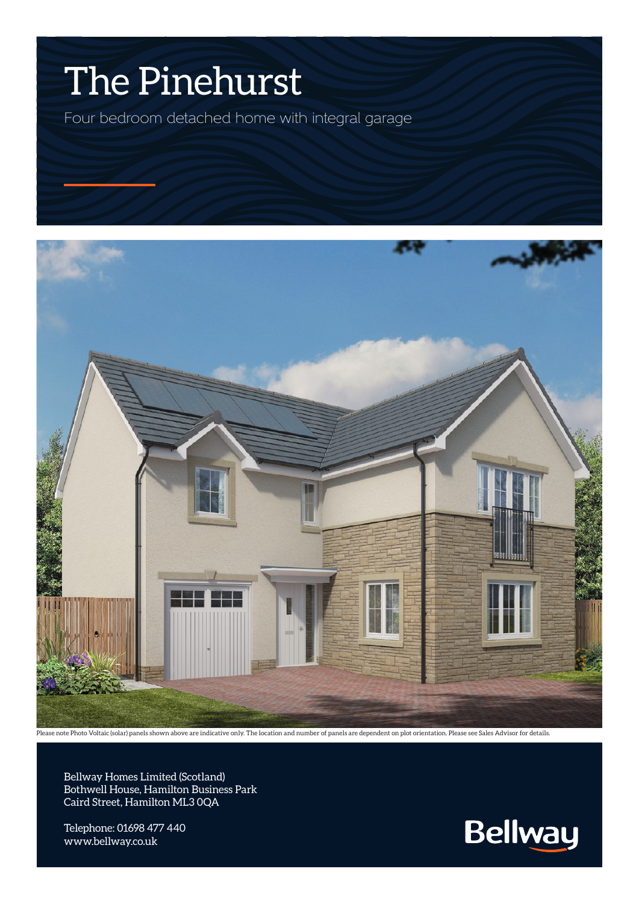## The Pinehurst

Four bedroom detached home with integral garage



ase note Photo Voltaic (solar) panels shown above are indicative only. The location and number of panels are dependent on plot orientation. Please see Sales Advisor for details.

Bellway Homes Limited (Scotland) Bothwell House, Hamilton Business Park Caird Street, Hamilton ML3 0QA

Telephone: 01698 477 440 www.bellway.co.uk